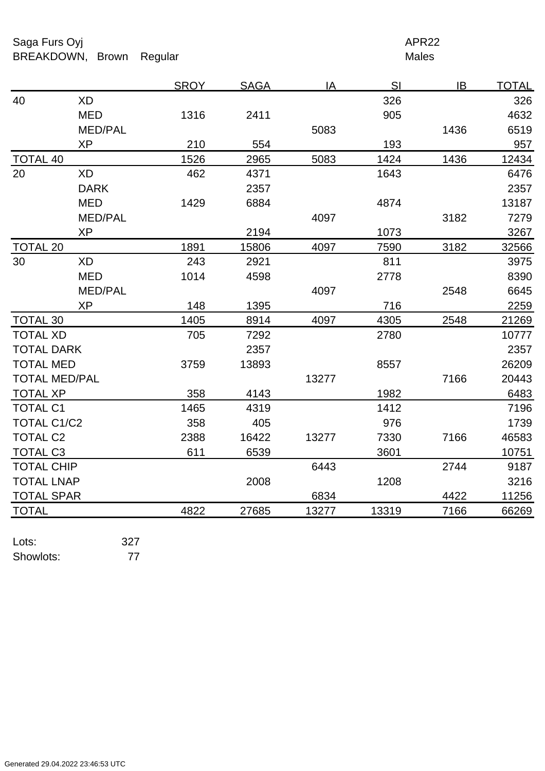Saga Furs Oyj and the Saga Furs Oyj APR22 BREAKDOWN, Brown Regular Males

|                      |                | <b>SROY</b> | <b>SAGA</b> | IA    | SI    | IB   | <b>TOTAL</b> |
|----------------------|----------------|-------------|-------------|-------|-------|------|--------------|
| 40                   | <b>XD</b>      |             |             |       | 326   |      | 326          |
|                      | <b>MED</b>     | 1316        | 2411        |       | 905   |      | 4632         |
|                      | <b>MED/PAL</b> |             |             | 5083  |       | 1436 | 6519         |
|                      | <b>XP</b>      | 210         | 554         |       | 193   |      | 957          |
| <b>TOTAL 40</b>      |                | 1526        | 2965        | 5083  | 1424  | 1436 | 12434        |
| 20                   | <b>XD</b>      | 462         | 4371        |       | 1643  |      | 6476         |
|                      | <b>DARK</b>    |             | 2357        |       |       |      | 2357         |
|                      | <b>MED</b>     | 1429        | 6884        |       | 4874  |      | 13187        |
|                      | <b>MED/PAL</b> |             |             | 4097  |       | 3182 | 7279         |
|                      | <b>XP</b>      |             | 2194        |       | 1073  |      | 3267         |
| <b>TOTAL 20</b>      |                | 1891        | 15806       | 4097  | 7590  | 3182 | 32566        |
| 30                   | XD             | 243         | 2921        |       | 811   |      | 3975         |
|                      | <b>MED</b>     | 1014        | 4598        |       | 2778  |      | 8390         |
|                      | <b>MED/PAL</b> |             |             | 4097  |       | 2548 | 6645         |
|                      | <b>XP</b>      | 148         | 1395        |       | 716   |      | 2259         |
| <b>TOTAL 30</b>      |                | 1405        | 8914        | 4097  | 4305  | 2548 | 21269        |
| <b>TOTAL XD</b>      |                | 705         | 7292        |       | 2780  |      | 10777        |
| <b>TOTAL DARK</b>    |                |             | 2357        |       |       |      | 2357         |
| <b>TOTAL MED</b>     |                | 3759        | 13893       |       | 8557  |      | 26209        |
| <b>TOTAL MED/PAL</b> |                |             |             | 13277 |       | 7166 | 20443        |
| <b>TOTAL XP</b>      |                | 358         | 4143        |       | 1982  |      | 6483         |
| <b>TOTAL C1</b>      |                | 1465        | 4319        |       | 1412  |      | 7196         |
| <b>TOTAL C1/C2</b>   |                | 358         | 405         |       | 976   |      | 1739         |
| <b>TOTAL C2</b>      |                | 2388        | 16422       | 13277 | 7330  | 7166 | 46583        |
| <b>TOTAL C3</b>      |                | 611         | 6539        |       | 3601  |      | 10751        |
| <b>TOTAL CHIP</b>    |                |             |             | 6443  |       | 2744 | 9187         |
| <b>TOTAL LNAP</b>    |                |             | 2008        |       | 1208  |      | 3216         |
| <b>TOTAL SPAR</b>    |                |             |             | 6834  |       | 4422 | 11256        |
| <b>TOTAL</b>         |                | 4822        | 27685       | 13277 | 13319 | 7166 | 66269        |

Lots: 327 Showlots: 77